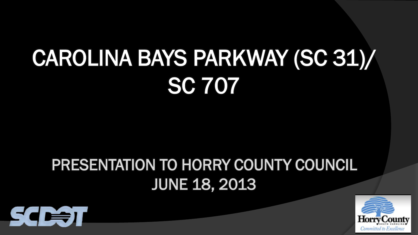## CAROLINA BAYS PARKWAY (SC 31)/ SC 707

## PRESENTATION TO HORRY COUNTY COUNCIL JUNE 18, 2013



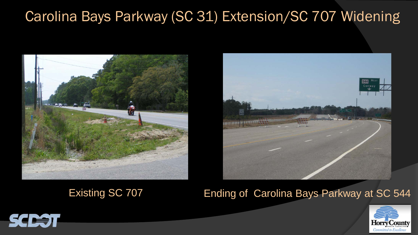



### Existing SC 707 **Ending of Carolina Bays Parkway at SC 544**



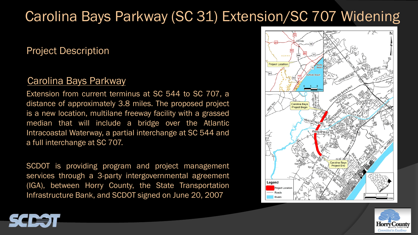#### Project Description

#### Carolina Bays Parkway

Extension from current terminus at SC 544 to SC 707, a distance of approximately 3.8 miles. The proposed project is a new location, multilane freeway facility with a grassed median that will include a bridge over the Atlantic Intracoastal Waterway, a partial interchange at SC 544 and a full interchange at SC 707.

SCDOT is providing program and project management services through a 3-party intergovernmental agreement (IGA), between Horry County, the State Transportation Infrastructure Bank, and SCDOT signed on June 20, 2007





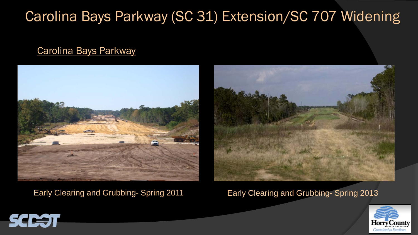#### Carolina Bays Parkway





#### Early Clearing and Grubbing- Spring 2011 Early Clearing and Grubbing- Spring 2013



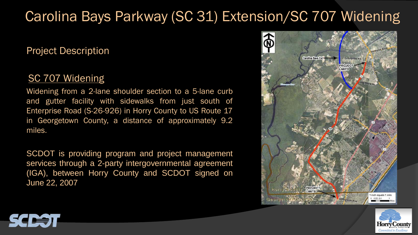#### Project Description

#### SC 707 Widening

Widening from a 2-lane shoulder section to a 5-lane curb and gutter facility with sidewalks from just south of Enterprise Road (S-26-926) in Horry County to US Route 17 in Georgetown County, a distance of approximately 9.2 miles.

SCDOT is providing program and project management services through a 2-party intergovernmental agreement (IGA), between Horry County and SCDOT signed on June 22, 2007





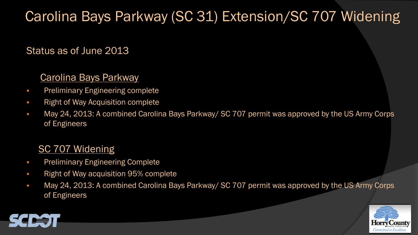#### Status as of June 2013

#### Carolina Bays Parkway

- **•** Preliminary Engineering complete
- **Right of Way Acquisition complete**
- May 24, 2013: A combined Carolina Bays Parkway/ SC 707 permit was approved by the US Army Corps of Engineers

#### SC 707 Widening

- **•** Preliminary Engineering Complete
- **Right of Way acquisition 95% complete**
- May 24, 2013: A combined Carolina Bays Parkway/ SC 707 permit was approved by the US Army Corps of Engineers



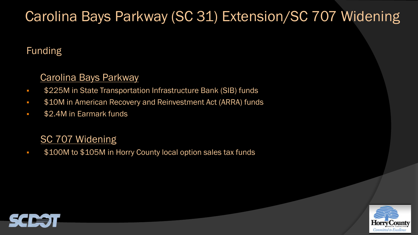#### Funding

#### Carolina Bays Parkway

- **\$225M in State Transportation Infrastructure Bank (SIB) funds**
- **510M in American Recovery and Reinvestment Act (ARRA) funds**
- **\$2.4M in Earmark funds**

#### SC 707 Widening

**\$100M to \$105M in Horry County local option sales tax funds** 



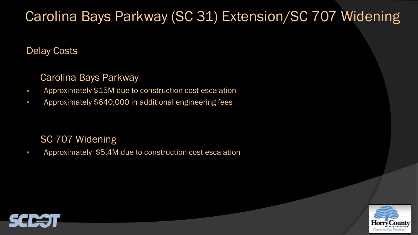#### Delay Costs

#### Carolina Bays Parkway

- **Approximately \$15M due to construction cost escalation**
- Approximately \$640,000 in additional engineering fees

#### SC 707 Widening

**Approximately \$5.4M due to construction cost escalation** 



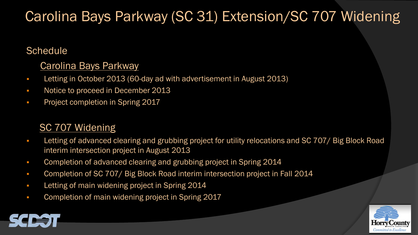#### **Schedule**

#### Carolina Bays Parkway

- Letting in October 2013 (60-day ad with advertisement in August 2013)
- Notice to proceed in December 2013
- **•** Project completion in Spring 2017

#### SC 707 Widening

- **Letting of advanced clearing and grubbing project for utility relocations and SC 707/ Big Block Road** interim intersection project in August 2013
- **Completion of advanced clearing and grubbing project in Spring 2014**
- **Completion of SC 707/ Big Block Road interim intersection project in Fall 2014**
- **Letting of main widening project in Spring 2014**
- **Completion of main widening project in Spring 2017**